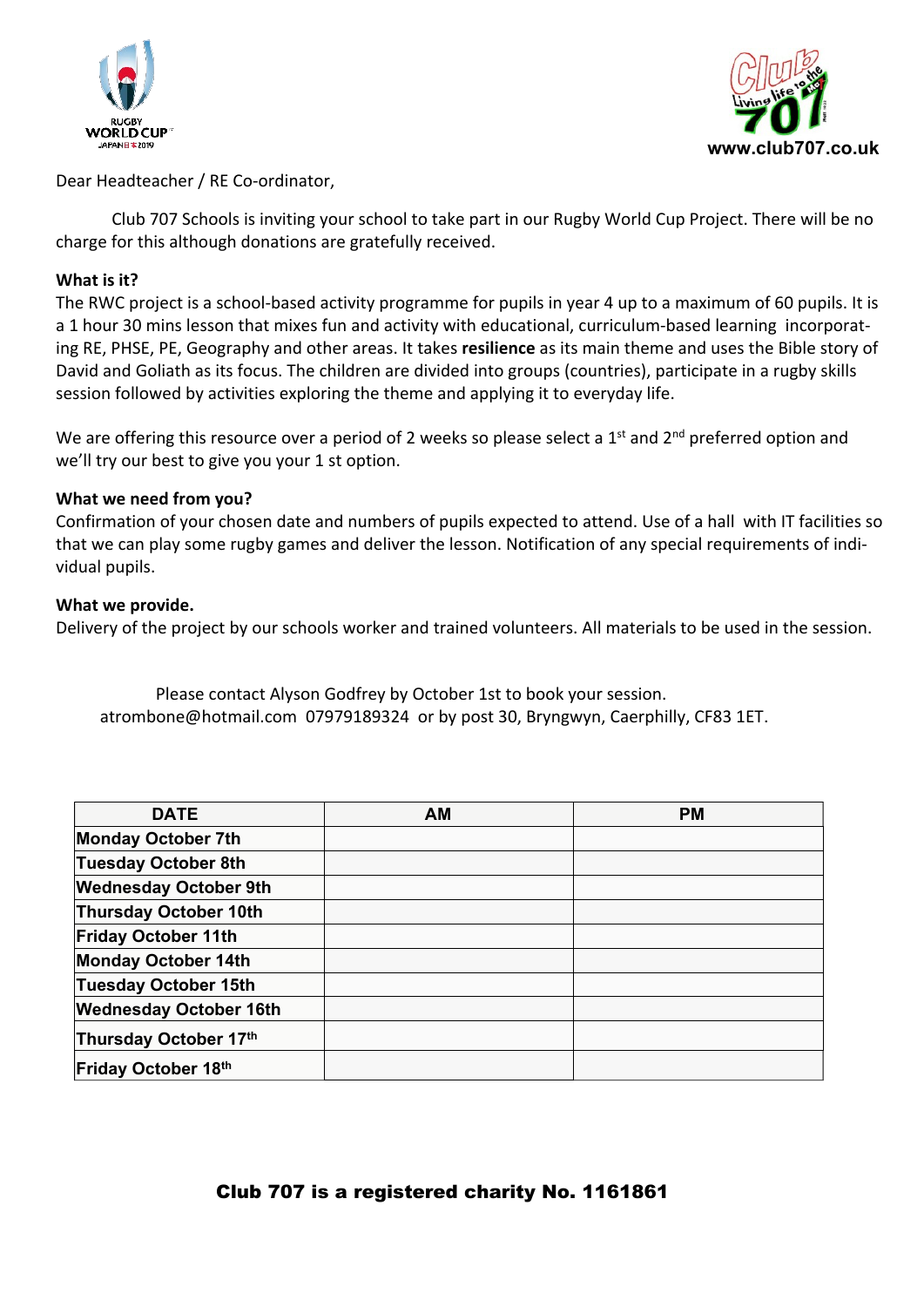



Dear Headteacher / RE Co-ordinator,

Club 707 Schools is inviting your school to take part in our Rugby World Cup Project. There will be no charge for this although donations are gratefully received.

## **What is it?**

The RWC project is a school-based activity programme for pupils in year 4 up to a maximum of 60 pupils. It is a 1 hour 30 mins lesson that mixes fun and activity with educational, curriculum-based learning incorporating RE, PHSE, PE, Geography and other areas. It takes **resilience** as its main theme and uses the Bible story of David and Goliath as its focus. The children are divided into groups (countries), participate in a rugby skills session followed by activities exploring the theme and applying it to everyday life.

We are offering this resource over a period of 2 weeks so please select a 1<sup>st</sup> and 2<sup>nd</sup> preferred option and we'll try our best to give you your 1 st option.

## **What we need from you?**

Confirmation of your chosen date and numbers of pupils expected to attend. Use of a hall with IT facilities so that we can play some rugby games and deliver the lesson. Notification of any special requirements of individual pupils.

## **What we provide.**

Delivery of the project by our schools worker and trained volunteers. All materials to be used in the session.

Please contact Alyson Godfrey by October 1st to book your session. atrombone@hotmail.com 07979189324 or by post 30, Bryngwyn, Caerphilly, CF83 1ET.

| <b>DATE</b>                   | <b>AM</b> | <b>PM</b> |
|-------------------------------|-----------|-----------|
| <b>Monday October 7th</b>     |           |           |
| <b>Tuesday October 8th</b>    |           |           |
| <b>Wednesday October 9th</b>  |           |           |
| <b>Thursday October 10th</b>  |           |           |
| <b>Friday October 11th</b>    |           |           |
| <b>Monday October 14th</b>    |           |           |
| <b>Tuesday October 15th</b>   |           |           |
| <b>Wednesday October 16th</b> |           |           |
| Thursday October 17th         |           |           |
| <b>Friday October 18th</b>    |           |           |

## **Club 707 is a registered charity No. 1161861**